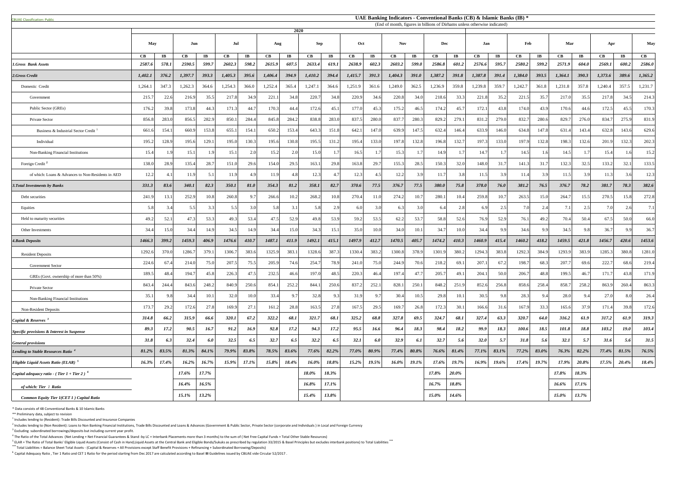<sup>5</sup> ELAR = The Ratio of Total Banks' Eligible Liquid Assets (Consist of Cash in Hand,Liquid Assets at the Central Bank and Eligible Bonds/Sukuks as prescribed by regulation 33/2015 & Basel Principles but excludes interbank **\*\*\*** Total Liabilities = Balance Sheet Total Assets - (Capital & Reserves + All Provisions except Staff Benefit Provisions + Refinancing + Subordinated Borrowing/Deposits)

| <b>CBUAE Classification: Public.</b>               | UAE Banking Indicators - Conventional Banks (CB) & Islamic Banks (IB) *           |       |          |           |         |                        |                        |                        |         |           |                      |                        |               |           |               |                        |              |                         |                      |                        |          |           |                      |                       |               |
|----------------------------------------------------|-----------------------------------------------------------------------------------|-------|----------|-----------|---------|------------------------|------------------------|------------------------|---------|-----------|----------------------|------------------------|---------------|-----------|---------------|------------------------|--------------|-------------------------|----------------------|------------------------|----------|-----------|----------------------|-----------------------|---------------|
|                                                    | (End of month, figures in billions of Dirhams unless otherwise indicated)<br>2020 |       |          |           |         |                        |                        |                        |         |           |                      |                        |               |           |               |                        |              |                         |                      |                        |          |           |                      |                       |               |
|                                                    | May                                                                               |       | Jun      |           | Jul     |                        | Aug                    |                        | Sep     |           | <b>Nov</b><br>Oct    |                        |               | Dec       |               | Jan                    |              | Feb                     |                      | Mar                    |          | Apr       |                      | <b>May</b>            |               |
|                                                    | $\mathbf C\mathbf B$                                                              | IB    | CB       | $\bf{IB}$ | CB      | $\mathbf{I}\mathbf{B}$ | $\mathbf{C}\mathbf{B}$ | $\mathbf{I}\mathbf{B}$ | CB      | $\bf{IB}$ | $\mathbf C\mathbf B$ | $\mathbf{I}\mathbf{B}$ | $\mathbf{CB}$ | $\bf{IB}$ | $\mathbf{CB}$ | $\mathbf{I}\mathbf{B}$ | CB           | $\mathbf{I} \mathbf{B}$ | $\mathbf C\mathbf B$ | $\mathbf{I}\mathbf{B}$ | CB       | $\bf{IB}$ | $\mathbf C\mathbf B$ | $\mathbf{I}$ <b>B</b> | $\mathbf{CB}$ |
| 1.Gross Bank Assets                                | 2587.6                                                                            | 578.1 | 2590.5   | 599.7     | 2602.3  | 598.2                  | 2615.9                 | 607.5                  | 2633.4  | 619.1     | 2638.9               | 602.3                  | 2603.2        | 599.0     | 2586.8        | 601.2                  | 2576.6       | 595.7                   | 2580.2               | 599.2                  | 2571.9   | 604.0     | 2569.1               | 600.2                 | 2586.0        |
| 2.Gross Credit                                     | 1,402.1                                                                           | 376.2 | 1,397.7  | 393.3     | 1,405.3 | 395.6                  | 1,406.4                | 394.9                  | 1,410.2 | 394.4     | 1,415.7              | 391.3                  | 1,404.3       | 391.0     | 1,387.2       | 391.8                  | 1,387.8      | 391.4                   | 1,384.0              | 393.5                  | 1,364.1  | 390.3     | 1,373.6              | 389.6                 | 1,365.2       |
| Domestic Credit                                    | 1,264.1                                                                           | 347.3 | 1,262.3  | 364.6     | 1,254.3 | 366.0                  | 1,252.4                | 365.4                  | 1,247.1 | 364.6     | 1,251.9              | 361.6                  | 1,249.0       | 362.5     | 1,236.9       | 359.8                  | 1,239.8      | 359.7                   | 1,242.7              | 361.8                  | 1,231.8  | 357.8     | 1,240.4              | 357.5                 | 1,231.7       |
| Government                                         | 215.                                                                              | 22.6  | 216.9    | 35.5      | 217.8   | 34.9                   | 221.                   | 34.8                   | 220.    | 34.8      | 220.9                | 34.6                   | 220.8         | 34.0      | 218.6         | 33.3                   | 221.8        | 35.2                    | 221.5                | 35.7                   | 217.0    | 35.5      | 217.8                | 34.5                  | 214.3         |
| Public Sector (GREs)                               | 176.                                                                              | 39.8  | 173.8    | 44.3      | 171.    | 44.                    | 170.3                  | 44.4                   | 172.6   | 45.1      | 177.0                | 45.3                   | 175.2         | 46.5      | 174.2         | 45.7                   | 172.1        | 43.8                    | 174.0                | 43.9                   | 170.6    | 44.6      | 172.5                | 45.5                  | 170.3         |
| Private Sector                                     | 856.                                                                              | 283.0 | 856.5    | 282.9     | 850.1   | 284.                   | 845.8                  | 284.2                  | 838.8   | 283.0     | 837.5                | 280.0                  | 837.7         | 280.3     | 829.2         | 279.1                  | 831.2        | 279.0                   | 832.7                | 280.6                  | 829.7    | 276.0     | 834.7                | 275.9                 | 831.9         |
| Business & Industrial Sector Credit                | 661.                                                                              | 154.  | 660.9    | 153.8     | 655.    | 154.                   | 650.2                  | 153.4                  | 643.3   | 151.8     | 642.                 | 147.0                  | 639.9         | 147.5     | 632.4         | 146.4                  | 633.9        | 146.0                   | 634.8                | 147.8                  | 631.4    | 143.4     | 632.8                | 143.6                 | 629.6         |
| Individual                                         | 195.                                                                              | 128.9 | 195.6    | 129.1     | 195.0   | 130.3                  | 195.6                  | 130.8                  | 195.5   | 131.2     | 195.4                | 133.0                  | 197.8         | 132.8     | 196.8         | 132.7                  | 197.3        | 133.0                   | 197.9                | 132.8                  | 198.3    | 132.6     | 201.9                | 132.3                 | 202.3         |
| Non-Banking Financial Institutions                 | 15.4                                                                              |       | 15.1     | 1.9       | 15.1    | 2.0                    | 15.2                   | 2.0                    | 15.0    |           | 16.5                 |                        | 15.3          |           | 14.9          |                        | 14.7         |                         | 14.5                 | 1.6                    | 14.5     |           | 15.4                 | 1.6                   | 15.2          |
| Foreign Credit <sup>2</sup>                        | 138.0                                                                             | 28.9  | 135.4    | 28.7      | 151.0   | 29.6                   | 154.0                  | 29.5                   | 163.1   | 29.8      | 163.8                | 29.7                   | 155.3         | 28.5      | 150.3         | 32.0                   | 148.0        | 31.7                    | 141.3                | 31.7                   | 132.3    | 32.5      | 133.2                | 32.1                  | 133.5         |
| of which: Loans & Advances to Non-Residents in AED | 12.2                                                                              | 4.1   | 11.9     | 5.1       | 11.9    |                        | 11.9                   | -4.8                   | 12.3    | 4.7       | 12.3                 |                        | 12.2          | 3.9       | 11.           | 3.8I                   | 11.5         | 3.9                     | 11.4                 | 3.9                    | 11.5     | 3.9       | 11.3                 | 3.6                   | 12.3          |
| <b>3. Total Investments by Banks</b>               | 331.3                                                                             | 83.6  | 340.1    | 82.3      | 350.1   | 81.0                   | 354.3                  | 81.2                   | 358.1   | 82.7      | 370.6                | 77.5                   | 376.7         | 77.5      | 380.0         | 75.8                   | <b>378.0</b> | 76.0                    | 381.2                | 76.5                   | 376.7    | 78.2      | 381.7                | 78.3                  | 382.6         |
| Debt securities                                    | 241.                                                                              | 13.1  | 252.9    | 10.8      | 260.8   |                        | 266.6                  | 10.2                   | 268.2   | 10.8      | 270.4                | 11.0                   | 274.2         | 10.7      | 280.          | 10.4                   | 259.8        | 10.7                    | 263.5                | 15.0                   | 264.7    | 15.5      | 270.5                | 15.8                  | 272.8         |
| Equities                                           | 5.3                                                                               | 3.4   | 5.5      | 3.3       | 5.5     | 3.0                    | 5.8                    | 3.1                    | 5.81    | 2.9       | 6.0                  | 3.0                    | 6.3           | 3.0       | 6.4           | 2.8                    | 6.9          | 2.5                     | 7.0                  | 2.4                    | 7.1      | 2.5       | 7.0                  | 2.6                   |               |
| Held to maturity securities                        | 49.2                                                                              | 52.   | 47.3     | 53.3      | 49.3    | 53.4                   | 47.5                   | 52.9                   | 49.8    | 53.9      | 59.2                 | 53.5                   | 62.2          | 53.7      | 58.8          | 52.6                   | 76.9         | 52.9                    | 76.1                 | 49.2                   | 70.4     | 50.4      | 67.5                 | 50.0                  | 66.0          |
| Other Investments                                  | 34.4                                                                              | 15.0  | 34.4     | 14.9      | 34.5    | 14.9                   | 34.4                   | 15.6                   | 34.3    | 15.1      | 35.0                 | 10.0                   | 34.0          | 10.1      | 34.7          | 10.0                   | 34.4         | 9.9                     | 34.6                 | 9.9                    | 34.5     | 9.8       | 36.7                 | 9.9                   | 36.7          |
| <b>4.Bank Deposits</b>                             | 1466.3                                                                            | 399.2 | 1459.3   | 406.9     | 1476.6  | 410.7                  | 1487.1                 | 411.9                  | 1492.1  | 415.1     | 1497.9               | 412.7                  | 1470.5        | 405.7     | 1474.2        | 410.3                  | 1460.9       | 415.4                   | 1460.2               | 418.2                  | 1459.5   | 421.8     | 1456.7               | 420.6                 | 1453.6        |
| <b>Resident Deposits</b>                           | 1292.6                                                                            | 370.0 | 1286.    | 379.1     | 1306.7  | 383.6                  | 1325.9                 | 383.                   | 1328.6  | 387.3     | 1330.4               | 383.2                  | 1300.8        | 378.9     | 1301.9        | 380.2                  | 1294.3       | 383.8                   | 1292.3               | 384.9                  | 1293.9   | 383.9     | 1285.3               | 380.8                 | 1281.0        |
| <b>Government Sector</b>                           | 224.                                                                              | 67.4  | 214.0    | 75.0      | 207.5   | 75.5                   | 205.9                  | 74.6                   | 254.    | 78.9      | 241.0                | 75.0                   | 244.9         | 70.6      | 218.2         | 69.1                   | 207.1        | 67.2                    | 198.7                | 68.3                   | 207.7    | 69.6      | 222.7                | 68.6                  | 219.4         |
| GREs (Govt. ownership of more than 50%)            | 189.5                                                                             | 48.4  | 194.     | 45.8      | 226.3   | 47.5                   | 232.5                  | 46.6                   | 197.0   | 48.5      | 220.3                | 46.4                   | 197.4         | 47.7      | 205.7         | 49.1                   | 204.1        | 50.0                    | 206.7                | 48.8                   | 199.5    | 46.7      | 171.7                | 43.8                  | 171.9         |
| Private Sector                                     | 843.                                                                              | 244.  | 843.6    | 248.2     | 840.9   | 250.6                  | 854.                   | 252.2                  | 844.    | 250.6     | 837.                 | 252.1                  | 828.1         | 250.1     | 848.2         | 251.9                  | 852.6        | 256.8                   | 858.6                | 258.4                  | 858.     | 258.2     | 863.9                | 260.4                 | 863.3         |
| Non-Banking Financial Institutions                 | 35.1                                                                              | 9.8   | 34.4     | 10.1      | 32.0    | 10.0                   | 33.4                   | 9.7                    | 32.8    | 9.3       | 31.9                 | 9.7                    | 30.4          | 10.5      | 29.8          | 10.1                   | 30.5         | 9.8                     | 28.3                 | 9.4                    | 28.0     | 9.4       | 27.0                 | 8.0                   | 26.4          |
| Non-Resident Deposits                              | 173.                                                                              | 29.2  | 172.6    | 27.8      | 169.9   | 27.                    | 161.2                  | 28.8                   | 163.5   | 27.8      | 167.5                | 29.5                   | 169.7         | 26.8      | 172.3         | 30.1                   | 166.6        | 31.6                    | 167.9                | 33.3                   | 165.6    | 37.9      | 171.4                | 39.8                  | 172.6         |
| Capital & Reserves                                 | 314.8                                                                             | 66.2  | 315.9    | 66.6      | 320.1   | 67.2                   | 322.2                  | 68.1                   | 321.7   | 68.1      | 325.2                | 68.8                   | 327.8         | 69.5      | 324.7         | 68.1                   | 327.4        | 63.3                    | 320.7                | 64.0                   | 316.2    | 61.9      | 317.2                | 61.9                  | 319.3         |
| Specific provisions & Interest in Suspense         | 89.3                                                                              | 17.2  | 90.5     | 16.7      | 91.2    | 16.9                   | 92.8                   | 17.2                   | 94.3    | 17.2      | 95.5                 | 16.6                   | 96.4          | 18.3      | 98.4          | 18.2                   | 99.9         | 18.3                    | 100.6                | 18.5                   | 101.8    | 18.8      | 103.2                | 19.0                  | 103.4         |
| <b>General provisions</b>                          | 31.8                                                                              | 6.3   | 32.4     | 6.0       | 32.5    | 6.5                    | 32.7                   | 6.5                    | 32.2    | 6.5       | 32.1                 | 6.0                    | 32.9          | 6.1       | 32.7          | 5.6                    | 32.0         | 5.7                     | 31.8                 | 5.6 <sub>1</sub>       | 32.1     | 5.7       | 31.6                 | 5.6                   | 31.5          |
| <b>Lending to Stable Resources Ratio</b>           | 81.2%                                                                             | 83.5% | 81.3%    | 84.1%     | 79.9%   | 83.8%                  | 78.5%                  | 83.6%                  | 77.6%   | 82.2%     | 77.0%                | 80.9%                  | 77.4%         | 80.8%     | $76.6\%$      | $81.4\%$               | 77.1%        | 83.1%                   | 77.2%                | 83.0%                  | $76.3\%$ | 82.2%     | 77.4%                | 81.5%                 | 76.5%         |
| <i>Eligible Liquid Assets Ratio (ELAR)</i> $5$     | 16.3%                                                                             | 17.4% | 16.2%    | 16.7%     | 15.9%   | 17.1%                  | 15.8%                  | 18.4%                  | 16.0%   | 18.8%     | 15.2%                | 19.5%                  | $16.0\%$      | 19.1%     | 17.6%         | 19.7%                  | 16.9%        | 19.6%                   | 17.4%                | 19.7%                  | 17.9%    | 20.8%     | 17.5%                | 20.4%                 | 18.4%         |
| Capital adequacy ratio - (Tier 1 + Tier 2) $^6$    |                                                                                   |       | $17.6\%$ | 17.7%     |         |                        |                        |                        | 18.0%   | 18.3%     |                      |                        |               |           | 17.8%         | $20.0\%$               |              |                         |                      |                        | 17.8%    | 18.3%     |                      |                       |               |
| of which: Tier 1 Ratio                             |                                                                                   |       | 16.4%    | 16.5%     |         |                        |                        |                        | 16.8%   | 17.1%     |                      |                        |               |           | 16.7%         | 18.8%                  |              |                         |                      |                        | 16.6%    | $17.1\%$  |                      |                       |               |
| Common Equity Tier 1(CET 1) Capital Ratio          |                                                                                   |       | $15.1\%$ | 13.2%     |         |                        |                        |                        | 15.4%   | 13.8%     |                      |                        |               |           | 15.0%         | 14.6%                  |              |                         |                      |                        | 15.0%    | 13.7%     |                      |                       |               |

\* Data consists of 48 Conventional Banks & 10 Islamic Banks

\*\* Preliminary data, subject to revision

 $<sup>1</sup>$  Includes lending to (Resident): Trade Bills Discounted and Insurance Companies</sup>

 $^2$  Includes lending to (Non Resident): Loans to Non Banking Financial Institutions, Trade Bills Discounted and Loans & Advances (Government & Public Sector, Private Sector (corporate and Individuals) in Local and Foreig  $3$  Excluding subordinated borrowings/deposits but including current year profit.

 $^4$  The Ratio of the Total Advances (Net Lending + Net Financial Guarantees & Stand -by LC + Interbank Placements more than 3 months) to the sum of (Net Free Capital Funds + Total Other Stable Resources)

<sup>6</sup>Capital Adequacy Ratio , Tier 1 Ratio and CET 1 Ratio for the period starting from Dec 2017 are calculated according to Basel **III** Guidelines issued by CBUAE vide Circular 52/2017 .